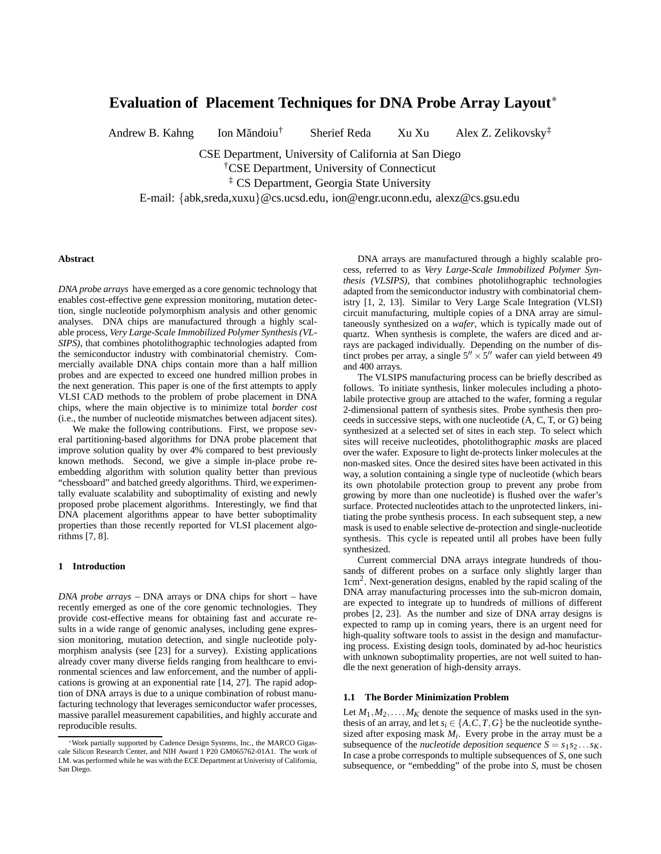# **Evaluation of Placement Techniques for DNA Probe Array Layout**<sup>∗</sup>

Andrew B. Kahng Ion Măndoiu<sup>†</sup>

† Sherief Reda Xu Xu Alex Z. Zelikovsky ‡

CSE Department, University of California at San Diego

†CSE Department, University of Connecticut

‡ CS Department, Georgia State University

E-mail: {abk,sreda,xuxu}@cs.ucsd.edu, ion@engr.uconn.edu, alexz@cs.gsu.edu

# **Abstract**

*DNA probe arrays* have emerged as a core genomic technology that enables cost-effective gene expression monitoring, mutation detection, single nucleotide polymorphism analysis and other genomic analyses. DNA chips are manufactured through a highly scalable process, *Very Large-Scale Immobilized Polymer Synthesis (VL-SIPS)*, that combines photolithographic technologies adapted from the semiconductor industry with combinatorial chemistry. Commercially available DNA chips contain more than a half million probes and are expected to exceed one hundred million probes in the next generation. This paper is one of the first attempts to apply VLSI CAD methods to the problem of probe placement in DNA chips, where the main objective is to minimize total *border cost* (i.e., the number of nucleotide mismatches between adjacent sites).

We make the following contributions. First, we propose several partitioning-based algorithms for DNA probe placement that improve solution quality by over 4% compared to best previously known methods. Second, we give a simple in-place probe reembedding algorithm with solution quality better than previous "chessboard" and batched greedy algorithms. Third, we experimentally evaluate scalability and suboptimality of existing and newly proposed probe placement algorithms. Interestingly, we find that DNA placement algorithms appear to have better suboptimality properties than those recently reported for VLSI placement algorithms [7, 8].

# **1 Introduction**

*DNA probe arrays* – DNA arrays or DNA chips for short – have recently emerged as one of the core genomic technologies. They provide cost-effective means for obtaining fast and accurate results in a wide range of genomic analyses, including gene expression monitoring, mutation detection, and single nucleotide polymorphism analysis (see [23] for a survey). Existing applications already cover many diverse fields ranging from healthcare to environmental sciences and law enforcement, and the number of applications is growing at an exponential rate [14, 27]. The rapid adoption of DNA arrays is due to a unique combination of robust manufacturing technology that leverages semiconductor wafer processes, massive parallel measurement capabilities, and highly accurate and reproducible results.

DNA arrays are manufactured through a highly scalable process, referred to as *Very Large-Scale Immobilized Polymer Synthesis (VLSIPS)*, that combines photolithographic technologies adapted from the semiconductor industry with combinatorial chemistry [1, 2, 13]. Similar to Very Large Scale Integration (VLSI) circuit manufacturing, multiple copies of a DNA array are simultaneously synthesized on a *wafer*, which is typically made out of quartz. When synthesis is complete, the wafers are diced and arrays are packaged individually. Depending on the number of distinct probes per array, a single  $5'' \times 5''$  wafer can yield between 49 and 400 arrays.

The VLSIPS manufacturing process can be briefly described as follows. To initiate synthesis, linker molecules including a photolabile protective group are attached to the wafer, forming a regular 2-dimensional pattern of synthesis sites. Probe synthesis then proceeds in successive steps, with one nucleotide (A, C, T, or G) being synthesized at a selected set of sites in each step. To select which sites will receive nucleotides, photolithographic *masks* are placed over the wafer. Exposure to light de-protects linker molecules at the non-masked sites. Once the desired sites have been activated in this way, a solution containing a single type of nucleotide (which bears its own photolabile protection group to prevent any probe from growing by more than one nucleotide) is flushed over the wafer's surface. Protected nucleotides attach to the unprotected linkers, initiating the probe synthesis process. In each subsequent step, a new mask is used to enable selective de-protection and single-nucleotide synthesis. This cycle is repeated until all probes have been fully synthesized.

Current commercial DNA arrays integrate hundreds of thousands of different probes on a surface only slightly larger than 1cm<sup>2</sup> . Next-generation designs, enabled by the rapid scaling of the DNA array manufacturing processes into the sub-micron domain, are expected to integrate up to hundreds of millions of different probes [2, 23]. As the number and size of DNA array designs is expected to ramp up in coming years, there is an urgent need for high-quality software tools to assist in the design and manufacturing process. Existing design tools, dominated by ad-hoc heuristics with unknown suboptimality properties, are not well suited to handle the next generation of high-density arrays.

#### **1.1 The Border Minimization Problem**

Let  $M_1, M_2, \ldots, M_K$  denote the sequence of masks used in the synthesis of an array, and let  $s_i \in \{A, C, T, G\}$  be the nucleotide synthesized after exposing mask  $M_i$ . Every probe in the array must be a subsequence of the *nucleotide deposition sequence*  $S = s_1 s_2 \dots s_K$ . In case a probe corresponds to multiple subsequences of *S*, one such subsequence, or "embedding" of the probe into *S*, must be chosen

<sup>∗</sup>Work partially supported by Cadence Design Systems, Inc., the MARCO Gigascale Silicon Research Center, and NIH Award 1 P20 GM065762-01A1. The work of I.M. was performed while he was with the ECE Department at Univeristy of California, San Diego.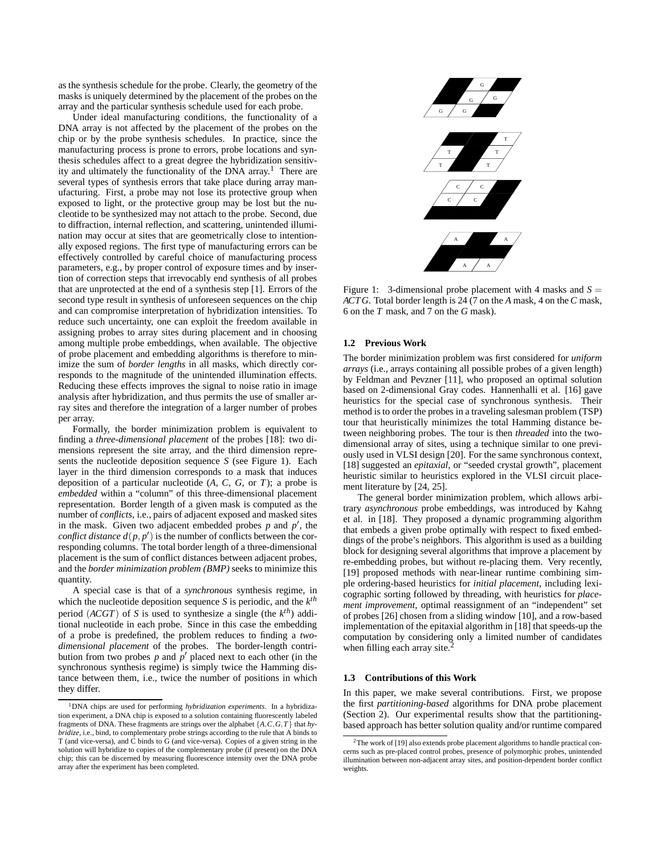as the synthesis schedule for the probe. Clearly, the geometry of the masks is uniquely determined by the placement of the probes on the array and the particular synthesis schedule used for each probe.

Under ideal manufacturing conditions, the functionality of a DNA array is not affected by the placement of the probes on the chip or by the probe synthesis schedules. In practice, since the manufacturing process is prone to errors, probe locations and synthesis schedules affect to a great degree the hybridization sensitivity and ultimately the functionality of the DNA array. <sup>1</sup> There are several types of synthesis errors that take place during array manufacturing. First, a probe may not lose its protective group when exposed to light, or the protective group may be lost but the nucleotide to be synthesized may not attach to the probe. Second, due to diffraction, internal reflection, and scattering, unintended illumination may occur at sites that are geometrically close to intentionally exposed regions. The first type of manufacturing errors can be effectively controlled by careful choice of manufacturing process parameters, e.g., by proper control of exposure times and by insertion of correction steps that irrevocably end synthesis of all probes that are unprotected at the end of a synthesis step [1]. Errors of the second type result in synthesis of unforeseen sequences on the chip and can compromise interpretation of hybridization intensities. To reduce such uncertainty, one can exploit the freedom available in assigning probes to array sites during placement and in choosing among multiple probe embeddings, when available. The objective of probe placement and embedding algorithms is therefore to minimize the sum of *border lengths* in all masks, which directly corresponds to the magnitude of the unintended illumination effects. Reducing these effects improves the signal to noise ratio in image analysis after hybridization, and thus permits the use of smaller array sites and therefore the integration of a larger number of probes per array.

Formally, the border minimization problem is equivalent to finding a *three-dimensional placement* of the probes [18]: two dimensions represent the site array, and the third dimension represents the nucleotide deposition sequence *S* (see Figure 1). Each layer in the third dimension corresponds to a mask that induces deposition of a particular nucleotide (*A*, *C*, *G*, or *T*); a probe is *embedded* within a "column" of this three-dimensional placement representation. Border length of a given mask is computed as the number of *conflicts*, i.e., pairs of adjacent exposed and masked sites in the mask. Given two adjacent embedded probes  $p$  and  $p'$ , the *conflict distance*  $d(p, p')$  is the number of conflicts between the corresponding columns. The total border length of a three-dimensional placement is the sum of conflict distances between adjacent probes, and the *border minimization problem (BMP)* seeks to minimize this quantity.

A special case is that of a *synchronous* synthesis regime, in which the nucleotide deposition sequence *S* is periodic, and the  $k^{th}$ period (*ACGT*) of *S* is used to synthesize a single (the  $k^{th}$ ) additional nucleotide in each probe. Since in this case the embedding of a probe is predefined, the problem reduces to finding a *twodimensional placement* of the probes. The border-length contribution from two probes  $p$  and  $p'$  placed next to each other (in the synchronous synthesis regime) is simply twice the Hamming distance between them, i.e., twice the number of positions in which they differ.



Figure 1: 3-dimensional probe placement with 4 masks and  $S =$ *ACTG*. Total border length is 24 (7 on the *A* mask, 4 on the *C* mask, 6 on the *T* mask, and 7 on the *G* mask).

## **1.2 Previous Work**

The border minimization problem was first considered for *uniform arrays* (i.e., arrays containing all possible probes of a given length) by Feldman and Pevzner [11], who proposed an optimal solution based on 2-dimensional Gray codes. Hannenhalli et al. [16] gave heuristics for the special case of synchronous synthesis. Their method is to order the probes in a traveling salesman problem (TSP) tour that heuristically minimizes the total Hamming distance between neighboring probes. The tour is then *threaded* into the twodimensional array of sites, using a technique similar to one previously used in VLSI design [20]. For the same synchronous context, [18] suggested an *epitaxial*, or "seeded crystal growth", placement heuristic similar to heuristics explored in the VLSI circuit placement literature by [24, 25].

The general border minimization problem, which allows arbitrary *asynchronous* probe embeddings, was introduced by Kahng et al. in [18]. They proposed a dynamic programming algorithm that embeds a given probe optimally with respect to fixed embeddings of the probe's neighbors. This algorithm is used as a building block for designing several algorithms that improve a placement by re-embedding probes, but without re-placing them. Very recently, [19] proposed methods with near-linear runtime combining simple ordering-based heuristics for *initial placement*, including lexicographic sorting followed by threading, with heuristics for *placement improvement*, optimal reassignment of an "independent" set of probes [26] chosen from a sliding window [10], and a row-based implementation of the epitaxial algorithm in [18] that speeds-up the computation by considering only a limited number of candidates when filling each array site.

#### **1.3 Contributions of this Work**

In this paper, we make several contributions. First, we propose the first *partitioning-based* algorithms for DNA probe placement (Section 2). Our experimental results show that the partitioningbased approach has better solution quality and/or runtime compared

<sup>1</sup>DNA chips are used for performing *hybridization experiments*. In a hybridization experiment, a DNA chip is exposed to a solution containing fluorescently labeled fragments of DNA. These fragments are strings over the alphabet {*A*,*C*,*G*,*T* } that *hybridize*, i.e., bind, to complementary probe strings according to the rule that A binds to T (and vice-versa), and C binds to G (and vice-versa). Copies of a given string in the solution will hybridize to copies of the complementary probe (if present) on the DNA chip; this can be discerned by measuring fluorescence intensity over the DNA probe array after the experiment has been completed.

<sup>&</sup>lt;sup>2</sup>The work of [19] also extends probe placement algorithms to handle practical concerns such as pre-placed control probes, presence of polymorphic probes, unintended illumination between non-adjacent array sites, and position-dependent border conflict weights.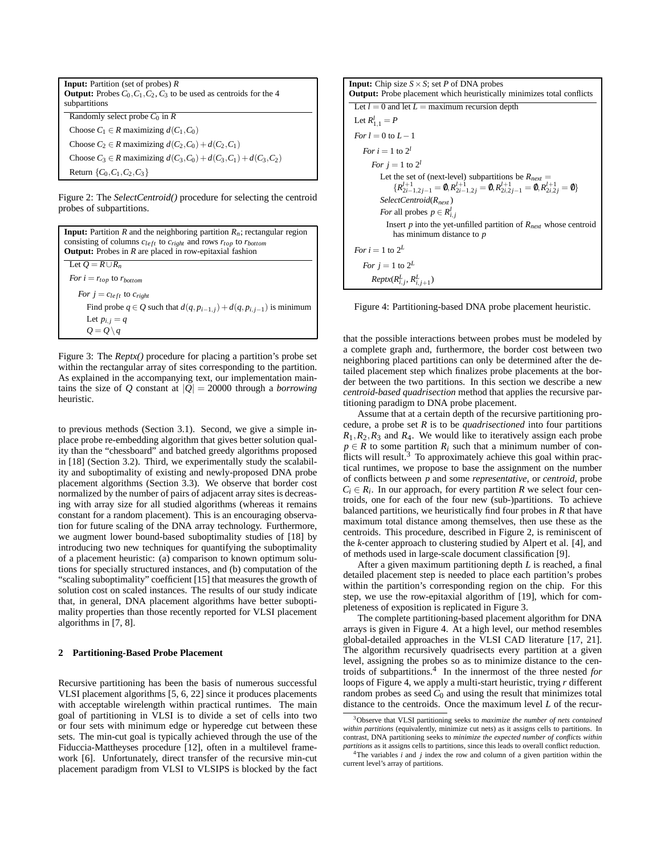**Input:** Partition (set of probes) *R* **Output:** Probes  $C_0$ ,  $C_1$ ,  $C_2$ ,  $C_3$  to be used as centroids for the 4 subpartitions Randomly select probe  $C_0$  in  $\bar{R}$ Choose  $C_1 \in R$  maximizing  $d(C_1, C_0)$ Choose  $C_2 \in R$  maximizing  $d(C_2, C_0) + d(C_2, C_1)$ Choose *C*<sub>3</sub> ∈ *R* maximizing  $d(C_3, C_0) + d(C_3, C_1) + d(C_3, C_2)$ Return {*C*0,*C*1,*C*2,*C*3}

Figure 2: The *SelectCentroid()* procedure for selecting the centroid probes of subpartitions.

**Input:** Partition *R* and the neighboring partition  $R_n$ ; rectangular region consisting of columns  $c_{left}$  to  $c_{right}$  and rows  $r_{top}$  to  $r_{bottom}$ **Output:** Probes in *R* are placed in row-epitaxial fashion Let  $Q = R \cup R_n$ *For*  $i = r_{top}$  to  $r_{bottom}$ *For*  $j = c_{left}$  to  $c_{right}$ Find probe  $q \in Q$  such that  $d(q, p_{i-1,j}) + d(q, p_{i,j-1})$  is minimum Let  $p_{i,j} = q$  $Q = Q \setminus q$ 

Figure 3: The *Reptx()* procedure for placing a partition's probe set within the rectangular array of sites corresponding to the partition. As explained in the accompanying text, our implementation maintains the size of *Q* constant at  $|Q| = 20000$  through a *borrowing* heuristic.

to previous methods (Section 3.1). Second, we give a simple inplace probe re-embedding algorithm that gives better solution quality than the "chessboard" and batched greedy algorithms proposed in [18] (Section 3.2). Third, we experimentally study the scalability and suboptimality of existing and newly-proposed DNA probe placement algorithms (Section 3.3). We observe that border cost normalized by the number of pairs of adjacent array sites is decreasing with array size for all studied algorithms (whereas it remains constant for a random placement). This is an encouraging observation for future scaling of the DNA array technology. Furthermore, we augment lower bound-based suboptimality studies of [18] by introducing two new techniques for quantifying the suboptimality of a placement heuristic: (a) comparison to known optimum solutions for specially structured instances, and (b) computation of the "scaling suboptimality" coefficient [15] that measures the growth of solution cost on scaled instances. The results of our study indicate that, in general, DNA placement algorithms have better suboptimality properties than those recently reported for VLSI placement algorithms in [7, 8].

#### **2 Partitioning-Based Probe Placement**

Recursive partitioning has been the basis of numerous successful VLSI placement algorithms [5, 6, 22] since it produces placements with acceptable wirelength within practical runtimes. The main goal of partitioning in VLSI is to divide a set of cells into two or four sets with minimum edge or hyperedge cut between these sets. The min-cut goal is typically achieved through the use of the Fiduccia-Mattheyses procedure [12], often in a multilevel framework [6]. Unfortunately, direct transfer of the recursive min-cut placement paradigm from VLSI to VLSIPS is blocked by the fact



Figure 4: Partitioning-based DNA probe placement heuristic.

that the possible interactions between probes must be modeled by a complete graph and, furthermore, the border cost between two neighboring placed partitions can only be determined after the detailed placement step which finalizes probe placements at the border between the two partitions. In this section we describe a new *centroid-based quadrisection* method that applies the recursive partitioning paradigm to DNA probe placement.

Assume that at a certain depth of the recursive partitioning procedure, a probe set *R* is to be *quadrisectioned* into four partitions  $R_1, R_2, R_3$  and  $R_4$ . We would like to iteratively assign each probe  $p \in R$  to some partition  $R_i$  such that a minimum number of conflicts will result.<sup>3</sup> To approximately achieve this goal within practical runtimes, we propose to base the assignment on the number of conflicts between *p* and some *representative*, or *centroid*, probe  $C_i \in R_i$ . In our approach, for every partition *R* we select four centroids, one for each of the four new (sub-)partitions. To achieve balanced partitions, we heuristically find four probes in *R* that have maximum total distance among themselves, then use these as the centroids. This procedure, described in Figure 2, is reminiscent of the *k*-center approach to clustering studied by Alpert et al. [4], and of methods used in large-scale document classification [9].

After a given maximum partitioning depth *L* is reached, a final detailed placement step is needed to place each partition's probes within the partition's corresponding region on the chip. For this step, we use the row-epitaxial algorithm of [19], which for completeness of exposition is replicated in Figure 3.

The complete partitioning-based placement algorithm for DNA arrays is given in Figure 4. At a high level, our method resembles global-detailed approaches in the VLSI CAD literature [17, 21]. The algorithm recursively quadrisects every partition at a given level, assigning the probes so as to minimize distance to the centroids of subpartitions.<sup>4</sup> In the innermost of the three nested *for* loops of Figure 4, we apply a multi-start heuristic, trying *r* different random probes as seed  $C_0$  and using the result that minimizes total distance to the centroids. Once the maximum level *L* of the recur-

<sup>3</sup>Observe that VLSI partitioning seeks to *maximize the number of nets contained within partitions* (equivalently, minimize cut nets) as it assigns cells to partitions. In contrast, DNA partitioning seeks to *minimize the expected number of conflicts within partitions* as it assigns cells to partitions, since this leads to overall conflict reduction.

<sup>&</sup>lt;sup>4</sup>The variables  $\vec{i}$  and  $\vec{j}$  index the row and column of a given partition within the current level's array of partitions.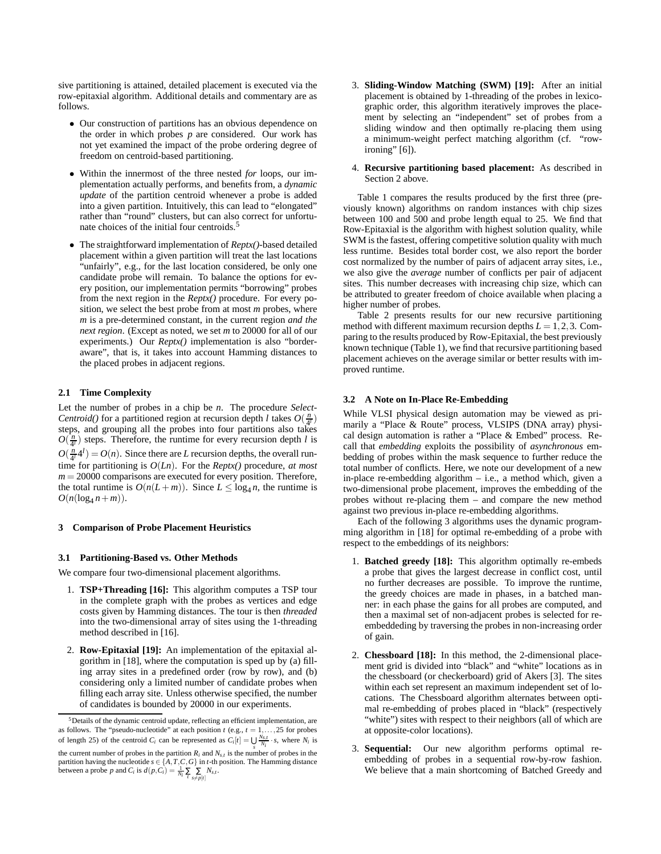sive partitioning is attained, detailed placement is executed via the row-epitaxial algorithm. Additional details and commentary are as follows.

- Our construction of partitions has an obvious dependence on the order in which probes *p* are considered. Our work has not yet examined the impact of the probe ordering degree of freedom on centroid-based partitioning.
- Within the innermost of the three nested *for* loops, our implementation actually performs, and benefits from, a *dynamic update* of the partition centroid whenever a probe is added into a given partition. Intuitively, this can lead to "elongated" rather than "round" clusters, but can also correct for unfortunate choices of the initial four centroids.
- The straightforward implementation of *Reptx()*-based detailed placement within a given partition will treat the last locations "unfairly", e.g., for the last location considered, be only one candidate probe will remain. To balance the options for every position, our implementation permits "borrowing" probes from the next region in the *Reptx()* procedure. For every position, we select the best probe from at most *m* probes, where *m* is a pre-determined constant, in the current region *and the next region*. (Except as noted, we set *m* to 20000 for all of our experiments.) Our *Reptx()* implementation is also "borderaware", that is, it takes into account Hamming distances to the placed probes in adjacent regions.

# **2.1 Time Complexity**

Let the number of probes in a chip be *n*. The procedure *Select-Centroid()* for a partitioned region at recursion depth *l* takes  $O(\frac{n}{4}$ steps, and grouping all the probes into four partitions also takes  $O(\frac{n}{4^l})$  steps. Therefore, the runtime for every recursion depth *l* is  $O(\frac{n}{4'}4^{l}) = O(n)$ . Since there are *L* recursion depths, the overall runtime for partitioning is *O*(*Ln*). For the *Reptx()* procedure, *at most*  $m = 20000$  comparisons are executed for every position. Therefore, the total runtime is  $O(n(L+m))$ . Since  $L \le \log_4 n$ , the runtime is  $O(n(\log_4 n + m)).$ 

## **3 Comparison of Probe Placement Heuristics**

#### **3.1 Partitioning-Based vs. Other Methods**

We compare four two-dimensional placement algorithms.

- 1. **TSP+Threading [16]:** This algorithm computes a TSP tour in the complete graph with the probes as vertices and edge costs given by Hamming distances. The tour is then *threaded* into the two-dimensional array of sites using the 1-threading method described in [16].
- 2. **Row-Epitaxial [19]:** An implementation of the epitaxial algorithm in [18], where the computation is sped up by (a) filling array sites in a predefined order (row by row), and (b) considering only a limited number of candidate probes when filling each array site. Unless otherwise specified, the number of candidates is bounded by 20000 in our experiments.
- 3. **Sliding-Window Matching (SWM) [19]:** After an initial placement is obtained by 1-threading of the probes in lexicographic order, this algorithm iteratively improves the placement by selecting an "independent" set of probes from a sliding window and then optimally re-placing them using a minimum-weight perfect matching algorithm (cf. "rowironing"  $[6]$ ).
- 4. **Recursive partitioning based placement:** As described in Section 2 above.

Table 1 compares the results produced by the first three (previously known) algorithms on random instances with chip sizes between 100 and 500 and probe length equal to 25. We find that Row-Epitaxial is the algorithm with highest solution quality, while SWM is the fastest, offering competitive solution quality with much less runtime. Besides total border cost, we also report the border cost normalized by the number of pairs of adjacent array sites, i.e., we also give the *average* number of conflicts per pair of adjacent sites. This number decreases with increasing chip size, which can be attributed to greater freedom of choice available when placing a higher number of probes.

Table 2 presents results for our new recursive partitioning method with different maximum recursion depths  $L = 1, 2, 3$ . Comparing to the results produced by Row-Epitaxial, the best previously known technique (Table 1), we find that recursive partitioning based placement achieves on the average similar or better results with improved runtime.

#### **3.2 A Note on In-Place Re-Embedding**

While VLSI physical design automation may be viewed as primarily a "Place & Route" process, VLSIPS (DNA array) physical design automation is rather a "Place & Embed" process. Recall that *embedding* exploits the possibility of *asynchronous* embedding of probes within the mask sequence to further reduce the total number of conflicts. Here, we note our development of a new in-place re-embedding algorithm – i.e., a method which, given a two-dimensional probe placement, improves the embedding of the probes without re-placing them – and compare the new method against two previous in-place re-embedding algorithms.

Each of the following 3 algorithms uses the dynamic programming algorithm in [18] for optimal re-embedding of a probe with respect to the embeddings of its neighbors:

- 1. **Batched greedy [18]:** This algorithm optimally re-embeds a probe that gives the largest decrease in conflict cost, until no further decreases are possible. To improve the runtime, the greedy choices are made in phases, in a batched manner: in each phase the gains for all probes are computed, and then a maximal set of non-adjacent probes is selected for reembeddeding by traversing the probes in non-increasing order of gain.
- 2. **Chessboard [18]:** In this method, the 2-dimensional placement grid is divided into "black" and "white" locations as in the chessboard (or checkerboard) grid of Akers [3]. The sites within each set represent an maximum independent set of locations. The Chessboard algorithm alternates between optimal re-embedding of probes placed in "black" (respectively "white") sites with respect to their neighbors (all of which are at opposite-color locations).
- 3. **Sequential:** Our new algorithm performs optimal reembedding of probes in a sequential row-by-row fashion. We believe that a main shortcoming of Batched Greedy and

<sup>5</sup>Details of the dynamic centroid update, reflecting an efficient implementation, are as follows. The "pseudo-nucleotide" at each position  $t$  (e.g.,  $t = 1, \ldots, 25$  for probes of length 25) of the centroid  $C_i$  can be represented as  $C_i[t] = \bigcup_{s} \frac{N_{s,t}}{N_i} \cdot s$ , where  $N_i$  is the current number of probes in the partition  $R_i$  and  $N_{s,t}$  is the number of probes in the partition having the nucleotide  $s \in \{A, T, C, G\}$  in *t*-th position. The Hamming distance<br>between a probe p and  $C_i$  is  $d(p, C_i) = \frac{1}{N_i} \sum_{s \neq p[i]} N_{s,i}$ .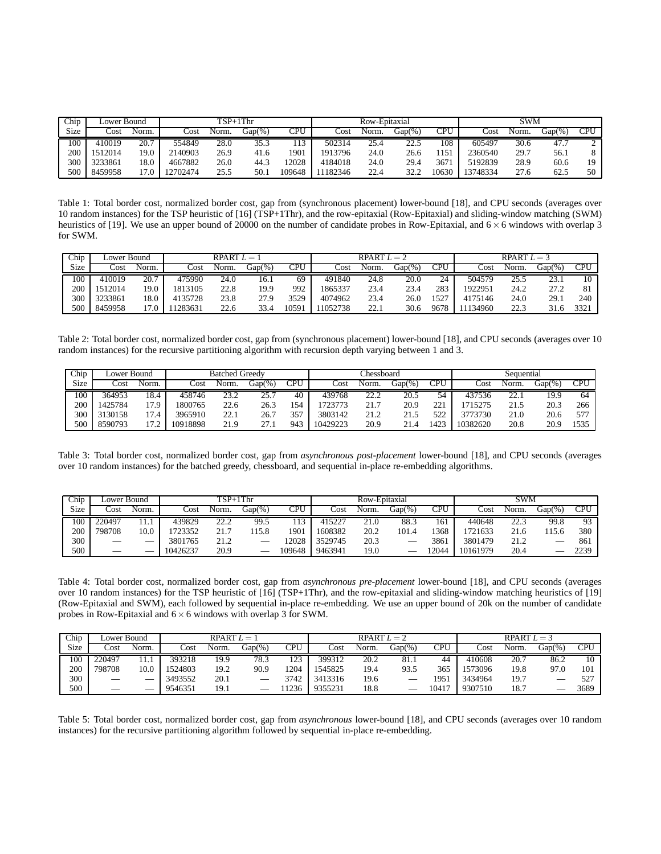| Chip | $TSP+1Thr$<br>Lower Bound |       |          |       | Row-Epitaxial |            |                 |       | <b>SWM</b> |       |          |       |           |     |
|------|---------------------------|-------|----------|-------|---------------|------------|-----------------|-------|------------|-------|----------|-------|-----------|-----|
| Size | Cost                      | Norm. | Cost     | Norm. | $Gap(\%)$     | <b>CPU</b> | $\mathsf{Cost}$ | Norm. | $Gap(\%)$  | CPU   | Cost     | Norm. | $Gap(\%)$ | CPU |
| 100  | 410019                    | 20.7  | 554849   | 28.0  | 35.3          |            | 502314          | 25.4  | 22.5       | 108   | 605497   | 30.6  | 47.1      |     |
| 200  | 1512014                   | 9.0   | 2140903  | 26.9  | 41.6          | 1901       | 1913796         | 24.0  | 26.6       | 1151  | 2360540  | 29.7  | 56.1      |     |
| 300  | 3233861                   | 8.0   | 4667882  | 26.0  | 44.3          | 2028       | 4184018         | 24.0  | 29.4       | 3671  | 5192839  | 28.9  | 60.6      | 19  |
| 500  | 8459958                   | 7.0   | 12702474 | 25.5  | 50.1          | 109648     | 11182346        | 22.4  | 32.2       | 10630 | 13748334 | 27.6  | 62.5      | 50  |

Table 1: Total border cost, normalized border cost, gap from (synchronous placement) lower-bound [18], and CPU seconds (averages over 10 random instances) for the TSP heuristic of [16] (TSP+1Thr), and the row-epitaxial (Row-Epitaxial) and sliding-window matching (SWM) heuristics of [19]. We use an upper bound of 20000 on the number of candidate probes in Row-Epitaxial, and  $6 \times 6$  windows with overlap 3 for SWM.

| Chip | Lower Bound |       | RPART $L =$ |       |        | RPART $L = 2$ |         |       |        | RPART $L = 3$ |         |       |        |                |
|------|-------------|-------|-------------|-------|--------|---------------|---------|-------|--------|---------------|---------|-------|--------|----------------|
| Size | Cost        | Norm. | Cost        | Norm. | Gap(%) | CPU           | Cost    | Norm. | Gap(%) | CPU           | Cost    | Norm. | Gap(%) | CPU            |
| 100  | 410019      | 20.7  | 175990      | 24.0  | 16.1   | 69            | 491840  | 24.8  | 20.0   | 24            | 504579  | 25.5  | 23.1   | 10             |
| 200  | 1512014     | 19.0  | 1813105     | 22.8  | 19.9   | 992           | 1865337 | 23.4  | 23.4   | 283           | 1922951 | 24.2  | 27.2   | O <sub>1</sub> |
| 300  | 3233861     | 18.0  | 4135728     | 23.8  | 27.9   | 3529          | 4074962 | 23.4  | 26.0   | 1527          | 4175146 | 24.0  | 29.    | 240            |
| 500  | 8459958     | l 7.0 | 1283631     | 22.6  | 33.4   | 0591          | 1052738 | 22.1  | 30.6   | 9678          | 134960  | 22.3  |        | 332            |

Table 2: Total border cost, normalized border cost, gap from (synchronous placement) lower-bound [18], and CPU seconds (averages over 10 random instances) for the recursive partitioning algorithm with recursion depth varying between 1 and 3.

| hip. | Lower Bound |       | <b>Batched Greedy</b> |       |             |     | hessboard. |       |        |               | Sequential |       |           |      |
|------|-------------|-------|-----------------------|-------|-------------|-----|------------|-------|--------|---------------|------------|-------|-----------|------|
| Size | Cost        | Norm. | Cost                  | Norm. | Gap(%`      | CPU | Cost       | Norm. | Gap(%) | CPU           | Cost       | Norm. | $Gap(\%)$ | CPU  |
| 100  | 364953      | 18.4  | 458746                | 23.2  | າ< '<br>. ب | 40  | 439768     | 22.2  | 20.5   |               | 437536     | 22.1  | 19.9      | 64   |
| 200  | 1425784     | 17.9  | 1800765               | 22.6  | 26.3        | 5/  | 723773     | 21.7  | 20.9   | $\mathcal{D}$ | 715275     | 21.5  | 20.3      | 266  |
| 300  | 3130158     | 17.4  | 3965910               | 22.1  | 26.7        | 357 | 3803142    | 21.2  | 21.5   | 522           | 3773730    | 21.0  | 20.6      | 577  |
| 500  | 8590793     | ר דו  | 0918898               | 21.9  | 27.         | 943 | 10429223   | 20.9  | 21.    | .423          | 10382620   | 20.8  | 20.9      | 1535 |

Table 3: Total border cost, normalized border cost, gap from *asynchronous post-placement* lower-bound [18], and CPU seconds (averages over 10 random instances) for the batched greedy, chessboard, and sequential in-place re-embedding algorithms.

| Chip | Lower Bound |       | $TSP+1Thr$ |              |           |        | Row-Epitaxial |       |            |      | SWM      |       |            |           |
|------|-------------|-------|------------|--------------|-----------|--------|---------------|-------|------------|------|----------|-------|------------|-----------|
| Size | Cost        | Norm. | Cost       | Norm.        | $Gap(\%)$ | CPU    | Cost          | Norm. | $Gap(\% )$ | CPU  | Cost     | Norm. | $Gap(\% )$ | $\cap$ di |
| 100  | 220497      |       | 439829     | າາ າ<br>22.L | 99.5      |        | 415227        | 21    | 88.3       | 161  | 440648   | 22.3  | 99.8       | Q3        |
| 200  | 798708      | 10.0  | 723352     | <u>. </u>    | 15.8      | 1901   | 1608382       | 20.2  | 101.4      | 1368 | 721633   | 21.6  | 15.6       | 380       |
| 300  |             |       | 3801765    | 21.2         |           | 2028   | 3529745       | 20.3  |            | 3861 | 3801479  | 21.2  |            | 861       |
| 500  |             |       | 10426237   | 20.9         |           | 109648 | 9463941       | 19.0  |            | 2044 | 10161979 | 20.4  |            | 2239      |

Table 4: Total border cost, normalized border cost, gap from *asynchronous pre-placement* lower-bound [18], and CPU seconds (averages over 10 random instances) for the TSP heuristic of [16] (TSP+1Thr), and the row-epitaxial and sliding-window matching heuristics of [19] (Row-Epitaxial and SWM), each followed by sequential in-place re-embedding. We use an upper bound of 20k on the number of candidate probes in Row-Epitaxial and  $6 \times 6$  windows with overlap 3 for SWM.

| Chip        | Lower Bound |       |         | RPART $L =$ |                     | RPART $L = 2$ |         |       |           | RPART $L = 3$ |         |       |        |      |
|-------------|-------------|-------|---------|-------------|---------------------|---------------|---------|-------|-----------|---------------|---------|-------|--------|------|
| <b>Size</b> | Cost        | Norm. | Cost    | Norm.       | $\overline{Gap(%)}$ | CPU           | Cost    | Norm. | $Gap(\%)$ | CPU           | Cost    | Norm. | Gap(%) | CPU  |
| 100         | 220497      | 11.1  | 393218  | 19.9        | 78.3                | 123           | 399312  | 20.2  | 81.1      | 44            | 410608  | 20.7  | 86.2   | 10   |
| 200         | 798708      | 0.0   | 1524803 | 19.2        | 90.9                | !204          | 1545825 | 19.4  | 93.5      | 365           | 1573096 | 19.8  | 97.0   | 101  |
| 300         |             |       | 3493552 | 20.1        |                     | 3742          | 3413316 | 19.6  |           | 1951          | 3434964 | 19.7  |        | 527  |
| 500         |             |       | 9546351 | 19.1        |                     | 1236          | 9355231 | 18.8  |           | 10417         | 9307510 | 18.7  |        | 3689 |

Table 5: Total border cost, normalized border cost, gap from *asynchronous* lower-bound [18], and CPU seconds (averages over 10 random instances) for the recursive partitioning algorithm followed by sequential in-place re-embedding.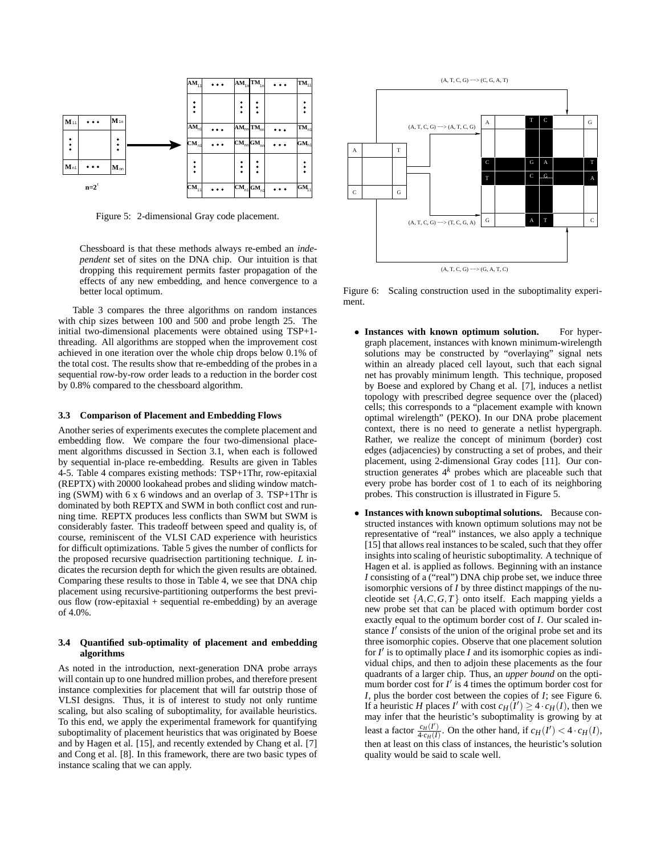

Figure 5: 2-dimensional Gray code placement.

Chessboard is that these methods always re-embed an *independent* set of sites on the DNA chip. Our intuition is that dropping this requirement permits faster propagation of the effects of any new embedding, and hence convergence to a better local optimum.

Table 3 compares the three algorithms on random instances with chip sizes between 100 and 500 and probe length 25. The initial two-dimensional placements were obtained using TSP+1 threading. All algorithms are stopped when the improvement cost achieved in one iteration over the whole chip drops below 0.1% of the total cost. The results show that re-embedding of the probes in a sequential row-by-row order leads to a reduction in the border cost by 0.8% compared to the chessboard algorithm.

#### **3.3 Comparison of Placement and Embedding Flows**

Another series of experiments executes the complete placement and embedding flow. We compare the four two-dimensional placement algorithms discussed in Section 3.1, when each is followed by sequential in-place re-embedding. Results are given in Tables 4-5. Table 4 compares existing methods: TSP+1Thr, row-epitaxial (REPTX) with 20000 lookahead probes and sliding window matching (SWM) with 6 x 6 windows and an overlap of 3. TSP+1Thr is dominated by both REPTX and SWM in both conflict cost and running time. REPTX produces less conflicts than SWM but SWM is considerably faster. This tradeoff between speed and quality is, of course, reminiscent of the VLSI CAD experience with heuristics for difficult optimizations. Table 5 gives the number of conflicts for the proposed recursive quadrisection partitioning technique. *L* indicates the recursion depth for which the given results are obtained. Comparing these results to those in Table 4, we see that DNA chip placement using recursive-partitioning outperforms the best previous flow (row-epitaxial + sequential re-embedding) by an average of 4.0%.

## **3.4 Quantified sub-optimality of placement and embedding algorithms**

As noted in the introduction, next-generation DNA probe arrays will contain up to one hundred million probes, and therefore present instance complexities for placement that will far outstrip those of VLSI designs. Thus, it is of interest to study not only runtime scaling, but also scaling of suboptimality, for available heuristics. To this end, we apply the experimental framework for quantifying suboptimality of placement heuristics that was originated by Boese and by Hagen et al. [15], and recently extended by Chang et al. [7] and Cong et al. [8]. In this framework, there are two basic types of instance scaling that we can apply.



Figure 6: Scaling construction used in the suboptimality experiment.

- **Instances with known optimum solution.** For hypergraph placement, instances with known minimum-wirelength solutions may be constructed by "overlaying" signal nets within an already placed cell layout, such that each signal net has provably minimum length. This technique, proposed by Boese and explored by Chang et al. [7], induces a netlist topology with prescribed degree sequence over the (placed) cells; this corresponds to a "placement example with known optimal wirelength" (PEKO). In our DNA probe placement context, there is no need to generate a netlist hypergraph. Rather, we realize the concept of minimum (border) cost edges (adjacencies) by constructing a set of probes, and their placement, using 2-dimensional Gray codes [11]. Our construction generates  $4^k$  probes which are placeable such that every probe has border cost of 1 to each of its neighboring probes. This construction is illustrated in Figure 5.
- **Instances with known suboptimalsolutions.** Because constructed instances with known optimum solutions may not be representative of "real" instances, we also apply a technique [15] that allows real instances to be scaled, such that they offer insights into scaling of heuristic suboptimality. A technique of Hagen et al. is applied as follows. Beginning with an instance *I* consisting of a ("real") DNA chip probe set, we induce three isomorphic versions of *I* by three distinct mappings of the nucleotide set  $\{A, C, G, T\}$  onto itself. Each mapping yields a new probe set that can be placed with optimum border cost exactly equal to the optimum border cost of *I*. Our scaled instance  $I'$  consists of the union of the original probe set and its three isomorphic copies. Observe that one placement solution for  $I'$  is to optimally place  $I$  and its isomorphic copies as individual chips, and then to adjoin these placements as the four quadrants of a larger chip. Thus, an *upper bound* on the optimum border cost for  $I'$  is 4 times the optimum border cost for *I*, plus the border cost between the copies of *I*; see Figure 6. If a heuristic *H* places *I'* with cost  $c_H(\tilde{I}') \geq 4 \cdot c_H(I)$ , then we may infer that the heuristic's suboptimality is growing by at least a factor  $\frac{c_H(I')}{4 \cdot c_H(I)}$ . On the other hand, if  $c_H(I') < 4 \cdot c_H(I)$ , then at least on this class of instances, the heuristic's solution quality would be said to scale well.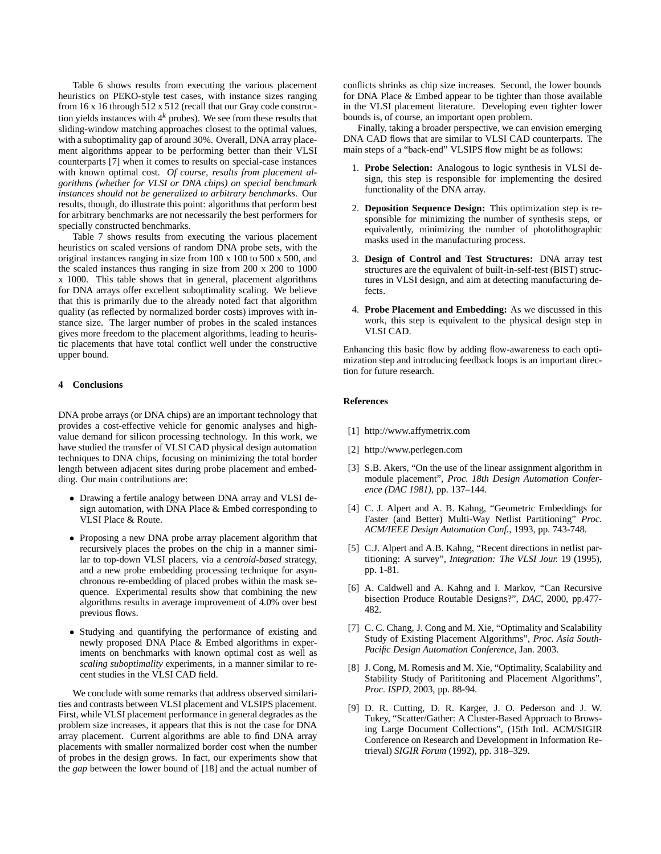Table 6 shows results from executing the various placement heuristics on PEKO-style test cases, with instance sizes ranging from 16 x 16 through 512 x 512 (recall that our Gray code construction yields instances with 4 *<sup>k</sup>* probes). We see from these results that sliding-window matching approaches closest to the optimal values, with a suboptimality gap of around 30%. Overall, DNA array placement algorithms appear to be performing better than their VLSI counterparts [7] when it comes to results on special-case instances with known optimal cost. *Of course, results from placement algorithms (whether for VLSI or DNA chips) on special benchmark instances should not be generalized to arbitrary benchmarks*. Our results, though, do illustrate this point: algorithms that perform best for arbitrary benchmarks are not necessarily the best performers for specially constructed benchmarks.

Table 7 shows results from executing the various placement heuristics on scaled versions of random DNA probe sets, with the original instances ranging in size from 100 x 100 to 500 x 500, and the scaled instances thus ranging in size from 200 x 200 to 1000 x 1000. This table shows that in general, placement algorithms for DNA arrays offer excellent suboptimality scaling. We believe that this is primarily due to the already noted fact that algorithm quality (as reflected by normalized border costs) improves with instance size. The larger number of probes in the scaled instances gives more freedom to the placement algorithms, leading to heuristic placements that have total conflict well under the constructive upper bound.

# **4 Conclusions**

DNA probe arrays (or DNA chips) are an important technology that provides a cost-effective vehicle for genomic analyses and highvalue demand for silicon processing technology. In this work, we have studied the transfer of VLSI CAD physical design automation techniques to DNA chips, focusing on minimizing the total border length between adjacent sites during probe placement and embedding. Our main contributions are:

- Drawing a fertile analogy between DNA array and VLSI design automation, with DNA Place & Embed corresponding to VLSI Place & Route.
- Proposing a new DNA probe array placement algorithm that recursively places the probes on the chip in a manner similar to top-down VLSI placers, via a *centroid-based* strategy, and a new probe embedding processing technique for asynchronous re-embedding of placed probes within the mask sequence. Experimental results show that combining the new algorithms results in average improvement of 4.0% over best previous flows.
- Studying and quantifying the performance of existing and newly proposed DNA Place & Embed algorithms in experiments on benchmarks with known optimal cost as well as *scaling suboptimality* experiments, in a manner similar to recent studies in the VLSI CAD field.

We conclude with some remarks that address observed similarities and contrasts between VLSI placement and VLSIPS placement. First, while VLSI placement performance in general degrades as the problem size increases, it appears that this is not the case for DNA array placement. Current algorithms are able to find DNA array placements with smaller normalized border cost when the number of probes in the design grows. In fact, our experiments show that the *gap* between the lower bound of [18] and the actual number of

conflicts shrinks as chip size increases. Second, the lower bounds for DNA Place & Embed appear to be tighter than those available in the VLSI placement literature. Developing even tighter lower bounds is, of course, an important open problem.

Finally, taking a broader perspective, we can envision emerging DNA CAD flows that are similar to VLSI CAD counterparts. The main steps of a "back-end" VLSIPS flow might be as follows:

- 1. **Probe Selection:** Analogous to logic synthesis in VLSI design, this step is responsible for implementing the desired functionality of the DNA array.
- 2. **Deposition Sequence Design:** This optimization step is responsible for minimizing the number of synthesis steps, or equivalently, minimizing the number of photolithographic masks used in the manufacturing process.
- 3. **Design of Control and Test Structures:** DNA array test structures are the equivalent of built-in-self-test (BIST) structures in VLSI design, and aim at detecting manufacturing defects.
- 4. **Probe Placement and Embedding:** As we discussed in this work, this step is equivalent to the physical design step in VLSI CAD.

Enhancing this basic flow by adding flow-awareness to each optimization step and introducing feedback loops is an important direction for future research.

## **References**

- [1] http://www.affymetrix.com
- [2] http://www.perlegen.com
- [3] S.B. Akers, "On the use of the linear assignment algorithm in module placement", *Proc. 18th Design Automation Conference (DAC 1981)*, pp. 137–144.
- [4] C. J. Alpert and A. B. Kahng, "Geometric Embeddings for Faster (and Better) Multi-Way Netlist Partitioning" *Proc. ACM/IEEE Design Automation Conf.*, 1993, pp. 743-748.
- [5] C.J. Alpert and A.B. Kahng, "Recent directions in netlist partitioning: A survey", *Integration: The VLSI Jour.* 19 (1995), pp. 1-81.
- [6] A. Caldwell and A. Kahng and I. Markov, "Can Recursive bisection Produce Routable Designs?", *DAC*, 2000, pp.477- 482.
- [7] C. C. Chang, J. Cong and M. Xie, "Optimality and Scalability Study of Existing Placement Algorithms", *Proc. Asia South-Pacific Design Automation Conference*, Jan. 2003.
- [8] J. Cong, M. Romesis and M. Xie, "Optimality, Scalability and Stability Study of Parititoning and Placement Algorithms", *Proc. ISPD*, 2003, pp. 88-94.
- [9] D. R. Cutting, D. R. Karger, J. O. Pederson and J. W. Tukey, "Scatter/Gather: A Cluster-Based Approach to Browsing Large Document Collections", (15th Intl. ACM/SIGIR Conference on Research and Development in Information Retrieval) *SIGIR Forum* (1992), pp. 318–329.